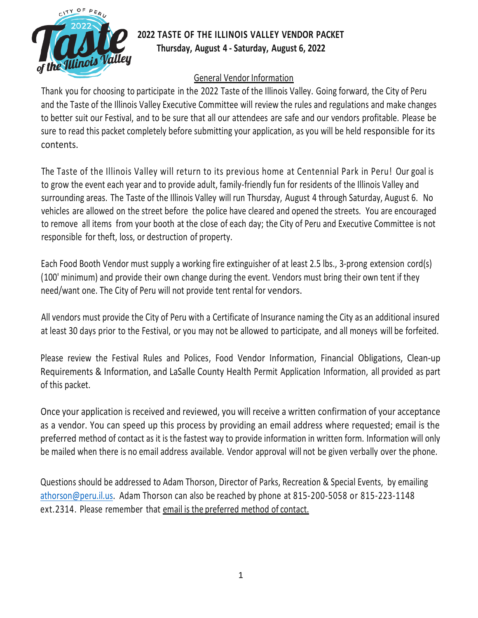

# **2022 TASTE OF THE ILLINOIS VALLEY VENDOR PACKET Thursday, August 4 - Saturday, August 6, 2022**

## General Vendor Information

Thank you for choosing to participate in the 2022 Taste of the Illinois Valley. Going forward, the City of Peru and the Taste of the Illinois Valley Executive Committee will review the rules and regulations and make changes to better suit our Festival, and to be sure that all our attendees are safe and our vendors profitable. Please be sure to read this packet completely before submitting your application, as you will be held responsible for its contents.

The Taste of the Illinois Valley will return to its previous home at Centennial Park in Peru! Our goal is to grow the event each year and to provide adult, family-friendly fun for residents of the Illinois Valley and surrounding areas. The Taste of the Illinois Valley will run Thursday, August 4 through Saturday, August 6. No vehicles are allowed on the street before the police have cleared and opened the streets. You are encouraged to remove all items from your booth at the close of each day; the City of Peru and Executive Committee is not responsible for theft, loss, or destruction of property.

Each Food Booth Vendor must supply a working fire extinguisher of at least 2.5 lbs., 3-prong extension cord(s) (100' minimum) and provide their own change during the event. Vendors must bring their own tent if they need/want one. The City of Peru will not provide tent rental for vendors.

All vendors must provide the City of Peru with a Certificate of Insurance naming the City as an additional insured at least 30 days prior to the Festival, or you may not be allowed to participate, and all moneys will be forfeited.

Please review the Festival Rules and Polices, Food Vendor Information, Financial Obligations, Clean-up Requirements & Information, and LaSalle County Health Permit Application Information, all provided as part of this packet.

Once your application is received and reviewed, you will receive a written confirmation of your acceptance as a vendor. You can speed up this process by providing an email address where requested; email is the preferred method of contact as it is the fastest way to provide information in written form. Information will only be mailed when there is no email address available. Vendor approval will not be given verbally over the phone.

Questions should be addressed to Adam Thorson, Director of Parks, Recreation & Special Events, by emailing [athorson@peru.il.us.](mailto:athorson@peru.il.us) Adam Thorson can also be reached by phone at 815-200-5058 or 815-223-1148 ext.2314. Please remember that email is the preferred method of contact.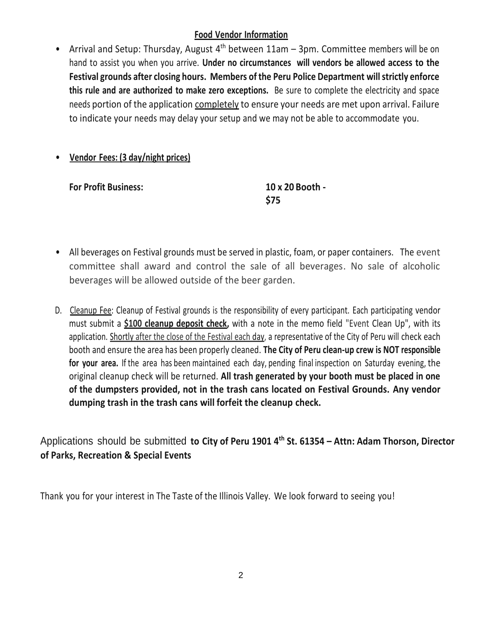## **Food Vendor Information**

• Arrival and Setup: Thursday, August  $4<sup>th</sup>$  between 11am – 3pm. Committee members will be on hand to assist you when you arrive. **Under no circumstances will vendors be allowed access to the Festival grounds after closing hours. Members of the Peru Police Department will strictly enforce this rule and are authorized to make zero exceptions.** Be sure to complete the electricity and space needs portion of the application completely to ensure your needs are met upon arrival. Failure to indicate your needs may delay your setup and we may not be able to accommodate you.

## • **Vendor Fees: (3 day/night prices)**

**For Profit Business: 10 x 20 Booth -**

**\$75**

- All beverages on Festival grounds must be served in plastic, foam, or paper containers. The event committee shall award and control the sale of all beverages. No sale of alcoholic beverages will be allowed outside of the beer garden.
- D. Cleanup Fee: Cleanup of Festival grounds is the responsibility of every participant. Each participating vendor must submit a **\$100 cleanup deposit check,** with a note in the memo field "Event Clean Up", with its application. Shortly after the close of the Festival each day, a representative of the City of Peru will check each booth and ensure the area has been properly cleaned. **The City of Peru clean-up crew is NOT responsible for your area.** If the area has been maintained each day, pending final inspection on Saturday evening, the original cleanup check will be returned. **All trash generated by your booth must be placed in one of the dumpsters provided, not in the trash cans located on Festival Grounds. Any vendor dumping trash in the trash cans will forfeit the cleanup check.**

Applications should be submitted **to City of Peru 1901 4th St. 61354 – Attn: Adam Thorson, Director of Parks, Recreation & Special Events**

Thank you for your interest in The Taste of the Illinois Valley. We look forward to seeing you!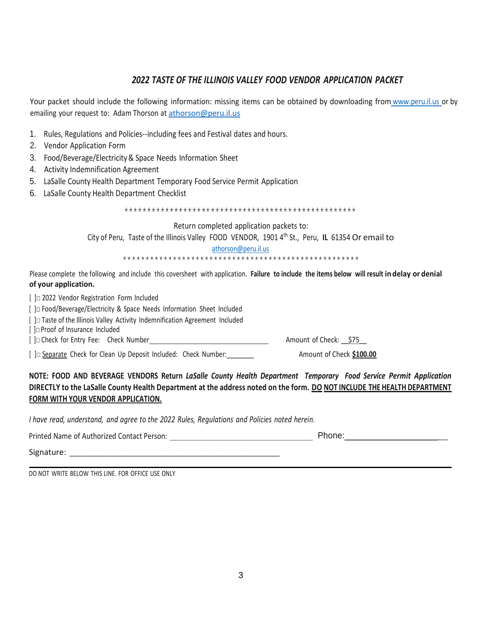## *2022 TASTE OF THE ILLINOIS VALLEY FOOD VENDOR APPLICATION PACKET*

Your packet should include the following information: missing items can be obtained by downloading from www.peru.il.us or by emailing your request to: Adam Thorson at [athorson@peru.il.us](mailto:athorson@peru.il.us)

- 1. Rules, Regulations and Policies--including fees and Festival dates and hours.
- 2. Vendor Application Form
- 3. Food/Beverage/Electricity& Space Needs Information Sheet
- 4. Activity Indemnification Agreement
- 5. LaSalle County Health Department Temporary Food Service Permit Application
- 6. LaSalle County Health Department Checklist

\*\*\*\*\*\*\*\*\*\*\*\*\*\*\*\*\*\*\*\*\*\*\*\*\*\*\*\*\*\*\*\*\*\*\*\*\*\*\*\*\*\*\*\*\*\*\*\*\*\*\*

Return completed application packets to:

City of Peru, Taste of the Illinois Valley FOOD VENDOR, 1901 4th St., Peru, **IL** 61354 Or email to

[athorson@peru.il.us](mailto:athorson@peru.il.us)

\*\*\*\*\*\*\*\*\*\*\*\*\*\*\*\*\*\*\*\*\*\*\*\*\*\*\*\*\*\*\*\*\*\*\*\*\*\*\*\*\*\*\*\*\*\*\*\*\*\*\*\*

Please complete the following and include this coversheet with application. **Failure to include the items below will result in delay or denial of your application.**

[ ]□ 2022 Vendor Registration Form Included

[ ]□ Food/Beverage/Electricity & Space Needs Information Sheet Included

[ ]□ Taste of the Illinois Valley Activity Indemnification Agreement Included

[ ]□Proof of Insurance Included

[ ]□ Check for Entry Fee: Check Number Amount of Check: \_\_\$75\_\_

[ ]□ Separate Check for Clean Up Deposit Included: Check Number:\_\_\_\_\_\_\_\_ Amount of Check **\$100.00**

**NOTE: FOOD AND BEVERAGE VENDORS Return** *LaSalle County Health Department Temporary Food Service Permit Application*  **DIRECTLY to the LaSalle County Health Department at the address noted on the form. DO NOT INCLUDE THE HEALTH DEPARTMENT FORM WITH YOUR VENDOR APPLICATION.**

*I have read, understand, and agree to the 2022 Rules, Regulations and Policies noted herein.*

Printed Name of Authorized Contact Person: Phone: \_

Signature: \_\_\_\_\_\_\_\_\_\_\_\_\_\_\_\_\_\_\_\_\_\_\_\_\_\_\_\_\_\_\_\_\_\_\_\_\_\_\_\_\_\_\_\_\_\_\_

DO NOT WRITE BELOW THIS LINE. FOR OFFICE USE ONLY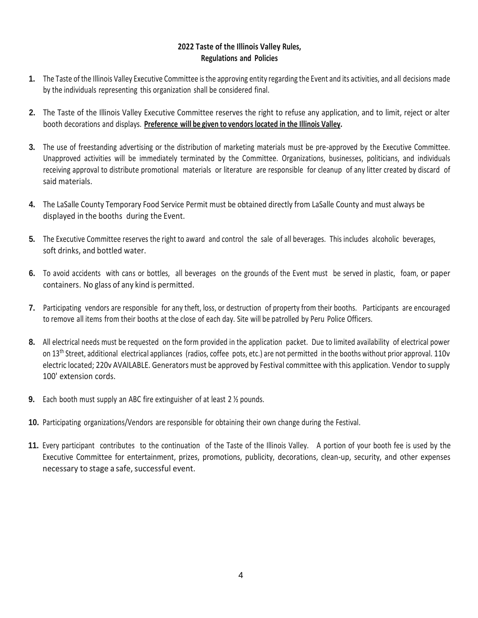### **2022 Taste of the Illinois Valley Rules, Regulations and Policies**

- **1.** The Taste of the Illinois Valley Executive Committee is the approving entity regarding the Event and its activities, and all decisions made by the individuals representing this organization shall be considered final.
- **2.** The Taste of the Illinois Valley Executive Committee reserves the right to refuse any application, and to limit, reject or alter booth decorations and displays. **Preference will be given to vendors located in the Illinois Valley.**
- **3.** The use of freestanding advertising or the distribution of marketing materials must be pre-approved by the Executive Committee. Unapproved activities will be immediately terminated by the Committee. Organizations, businesses, politicians, and individuals receiving approval to distribute promotional materials or literature are responsible for cleanup of any litter created by discard of said materials.
- **4.** The LaSalle County Temporary Food Service Permit must be obtained directly from LaSalle County and must always be displayed in the booths during the Event.
- **5.** The Executive Committee reserves the right to award and control the sale of all beverages. This includes alcoholic beverages, soft drinks, and bottled water.
- **6.** To avoid accidents with cans or bottles, all beverages on the grounds of the Event must be served in plastic, foam, or paper containers. No glass of any kind is permitted.
- **7.** Participating vendors are responsible for any theft, loss, or destruction of property from their booths. Participants are encouraged to remove all items from their booths at the close of each day. Site will be patrolled by Peru Police Officers.
- **8.** All electrical needs must be requested on the form provided in the application packet. Due to limited availability of electrical power on 13<sup>th</sup> Street, additional electrical appliances (radios, coffee pots, etc.) are not permitted in the booths without prior approval. 110v electric located; 220v AVAILABLE. Generators must be approved by Festival committee with this application. Vendor to supply 100' extension cords.
- **9.** Each booth must supply an ABC fire extinguisher of at least 2 ½ pounds.
- **10.** Participating organizations/Vendors are responsible for obtaining their own change during the Festival.
- **11.** Every participant contributes to the continuation of the Taste of the Illinois Valley. A portion of your booth fee is used by the Executive Committee for entertainment, prizes, promotions, publicity, decorations, clean-up, security, and other expenses necessary to stage a safe, successful event.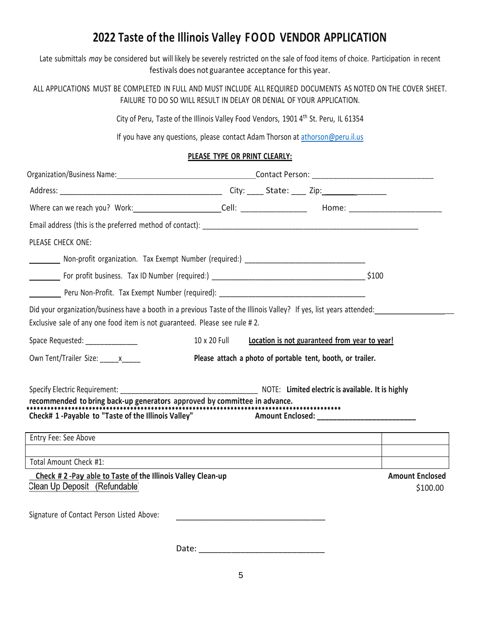# **2022 Taste of the Illinois Valley FOOD VENDOR APPLICATION**

Late submittals *may* be considered but will likely be severely restricted on the sale of food items of choice. Participation in recent festivals does not guarantee acceptance for this year.

ALL APPLICATIONS MUST BE COMPLETED IN FULL AND MUST INCLUDE ALL REQUIRED DOCUMENTS AS NOTED ON THE COVER SHEET. FAILURE TO DO SO WILL RESULT IN DELAY OR DENIAL OF YOUR APPLICATION.

City of Peru, Taste of the Illinois Valley Food Vendors, 1901 4th St. Peru, IL 61354

If you have any questions, please contact Adam Thorson at [athorson@peru.il.us](mailto:athorson@peru.il.us)

### **PLEASE TYPE OR PRINT CLEARLY:**

| PLEASE CHECK ONE:                                                                                                                                                                                  |                                                                                                                 |  |                                                            |                                    |  |  |
|----------------------------------------------------------------------------------------------------------------------------------------------------------------------------------------------------|-----------------------------------------------------------------------------------------------------------------|--|------------------------------------------------------------|------------------------------------|--|--|
|                                                                                                                                                                                                    |                                                                                                                 |  |                                                            |                                    |  |  |
|                                                                                                                                                                                                    |                                                                                                                 |  |                                                            |                                    |  |  |
|                                                                                                                                                                                                    |                                                                                                                 |  |                                                            |                                    |  |  |
| Did your organization/business have a booth in a previous Taste of the Illinois Valley? If yes, list years attended:<br>Exclusive sale of any one food item is not guaranteed. Please see rule #2. |                                                                                                                 |  |                                                            |                                    |  |  |
| Space Requested: ______________                                                                                                                                                                    | 10 x 20 Full                                                                                                    |  | Location is not guaranteed from year to year!              |                                    |  |  |
| Own Tent/Trailer Size: x                                                                                                                                                                           |                                                                                                                 |  | Please attach a photo of portable tent, booth, or trailer. |                                    |  |  |
|                                                                                                                                                                                                    |                                                                                                                 |  |                                                            |                                    |  |  |
| recommended to bring back-up generators approved by committee in advance.<br>Check# 1-Payable to "Taste of the Illinois Valley" Amount Enclosed:                                                   |                                                                                                                 |  |                                                            |                                    |  |  |
| Entry Fee: See Above                                                                                                                                                                               | the contract of the contract of the contract of the contract of the contract of the contract of the contract of |  |                                                            |                                    |  |  |
| Total Amount Check #1:                                                                                                                                                                             |                                                                                                                 |  |                                                            |                                    |  |  |
| Check #2-Pay able to Taste of the Illinois Valley Clean-up<br>Clean Up Deposit (Refundable)                                                                                                        |                                                                                                                 |  |                                                            | <b>Amount Enclosed</b><br>\$100.00 |  |  |
| Signature of Contact Person Listed Above:                                                                                                                                                          |                                                                                                                 |  |                                                            |                                    |  |  |
|                                                                                                                                                                                                    | Date:                                                                                                           |  |                                                            |                                    |  |  |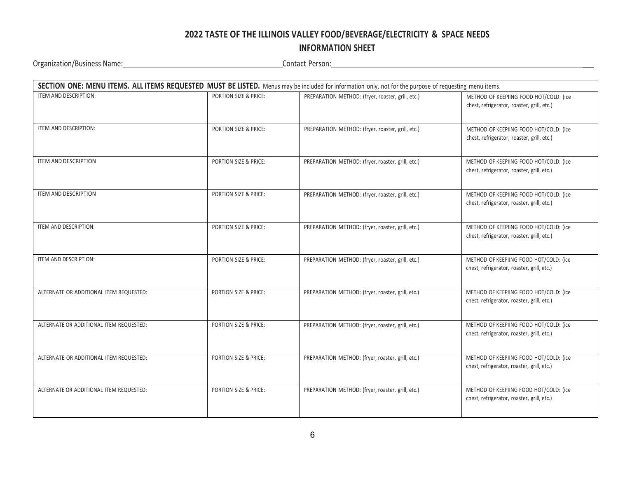# **2022 TASTE OF THE ILLINOIS VALLEY FOOD/BEVERAGE/ELECTRICITY & SPACE NEEDS**

## **INFORMATION SHEET**

Organization/Business Name: 1988. Name: 2008. The Contact Person: 2008. Contact Person: 2008. The Contact Person: 2008. The Contact Person: 2008. The Contact Person: 2008. The Contact Person: 2008. Contact Person: 2008. Th

|                                         | SECTION ONE: MENU ITEMS. ALL ITEMS REQUESTED MUST BE LISTED. Menus may be included for information only, not for the purpose of requesting menu items. |                                                   |                                                                                      |  |  |  |  |  |
|-----------------------------------------|--------------------------------------------------------------------------------------------------------------------------------------------------------|---------------------------------------------------|--------------------------------------------------------------------------------------|--|--|--|--|--|
| ITEM AND DESCRIPTION:                   | PORTION SIZE & PRICE:                                                                                                                                  | PREPARATION METHOD: (fryer, roaster, grill, etc.) | METHOD OF KEEPIING FOOD HOT/COLD: (ice<br>chest, refrigerator, roaster, grill, etc.) |  |  |  |  |  |
| ITEM AND DESCRIPTION:                   | PORTION SIZE & PRICE:                                                                                                                                  | PREPARATION METHOD: (fryer, roaster, grill, etc.) | METHOD OF KEEPIING FOOD HOT/COLD: (ice<br>chest, refrigerator, roaster, grill, etc.) |  |  |  |  |  |
| <b>ITEM AND DESCRIPTION</b>             | PORTION SIZE & PRICE:                                                                                                                                  | PREPARATION METHOD: (fryer, roaster, grill, etc.) | METHOD OF KEEPIING FOOD HOT/COLD: (ice<br>chest, refrigerator, roaster, grill, etc.) |  |  |  |  |  |
| <b>ITEM AND DESCRIPTION</b>             | PORTION SIZE & PRICE:                                                                                                                                  | PREPARATION METHOD: (fryer, roaster, grill, etc.) | METHOD OF KEEPIING FOOD HOT/COLD: (ice<br>chest, refrigerator, roaster, grill, etc.) |  |  |  |  |  |
| ITEM AND DESCRIPTION:                   | PORTION SIZE & PRICE:                                                                                                                                  | PREPARATION METHOD: (fryer, roaster, grill, etc.) | METHOD OF KEEPIING FOOD HOT/COLD: (ice<br>chest, refrigerator, roaster, grill, etc.) |  |  |  |  |  |
| ITEM AND DESCRIPTION:                   | PORTION SIZE & PRICE:                                                                                                                                  | PREPARATION METHOD: (fryer, roaster, grill, etc.) | METHOD OF KEEPIING FOOD HOT/COLD: (ice<br>chest, refrigerator, roaster, grill, etc.) |  |  |  |  |  |
| ALTERNATE OR ADDITIONAL ITEM REQUESTED: | PORTION SIZE & PRICE:                                                                                                                                  | PREPARATION METHOD: (fryer, roaster, grill, etc.) | METHOD OF KEEPIING FOOD HOT/COLD: (ice<br>chest, refrigerator, roaster, grill, etc.) |  |  |  |  |  |
| ALTERNATE OR ADDITIONAL ITEM REQUESTED: | PORTION SIZE & PRICE:                                                                                                                                  | PREPARATION METHOD: (fryer, roaster, grill, etc.) | METHOD OF KEEPIING FOOD HOT/COLD: (ice<br>chest, refrigerator, roaster, grill, etc.) |  |  |  |  |  |
| ALTERNATE OR ADDITIONAL ITEM REQUESTED: | PORTION SIZE & PRICE:                                                                                                                                  | PREPARATION METHOD: (fryer, roaster, grill, etc.) | METHOD OF KEEPIING FOOD HOT/COLD: (ice<br>chest, refrigerator, roaster, grill, etc.) |  |  |  |  |  |
| ALTERNATE OR ADDITIONAL ITEM REQUESTED: | PORTION SIZE & PRICE:                                                                                                                                  | PREPARATION METHOD: (fryer, roaster, grill, etc.) | METHOD OF KEEPIING FOOD HOT/COLD: (ice<br>chest, refrigerator, roaster, grill, etc.) |  |  |  |  |  |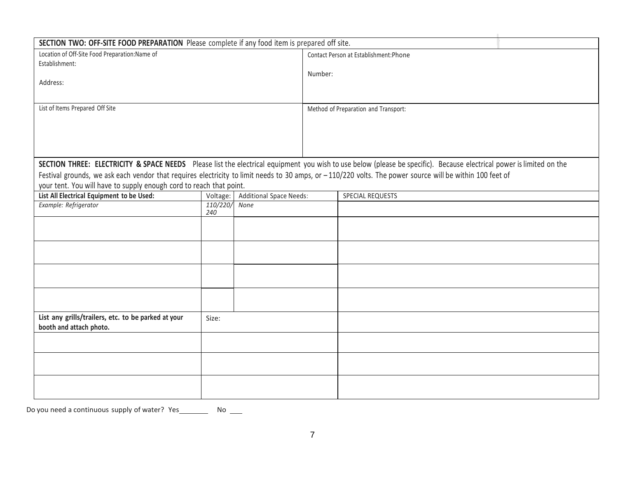| SECTION TWO: OFF-SITE FOOD PREPARATION Please complete if any food item is prepared off site.                                                                        |          |                                        |                                      |                  |  |  |  |
|----------------------------------------------------------------------------------------------------------------------------------------------------------------------|----------|----------------------------------------|--------------------------------------|------------------|--|--|--|
| Location of Off-Site Food Preparation: Name of                                                                                                                       |          | Contact Person at Establishment: Phone |                                      |                  |  |  |  |
| Establishment:                                                                                                                                                       |          |                                        |                                      |                  |  |  |  |
|                                                                                                                                                                      |          |                                        | Number:                              |                  |  |  |  |
| Address:                                                                                                                                                             |          |                                        |                                      |                  |  |  |  |
|                                                                                                                                                                      |          |                                        |                                      |                  |  |  |  |
|                                                                                                                                                                      |          |                                        |                                      |                  |  |  |  |
| List of Items Prepared Off Site                                                                                                                                      |          |                                        | Method of Preparation and Transport: |                  |  |  |  |
|                                                                                                                                                                      |          |                                        |                                      |                  |  |  |  |
|                                                                                                                                                                      |          |                                        |                                      |                  |  |  |  |
|                                                                                                                                                                      |          |                                        |                                      |                  |  |  |  |
|                                                                                                                                                                      |          |                                        |                                      |                  |  |  |  |
| SECTION THREE: ELECTRICITY & SPACE NEEDS Please list the electrical equipment you wish to use below (please be specific). Because electrical power is limited on the |          |                                        |                                      |                  |  |  |  |
| Festival grounds, we ask each vendor that requires electricity to limit needs to 30 amps, or -110/220 volts. The power source will be within 100 feet of             |          |                                        |                                      |                  |  |  |  |
| your tent. You will have to supply enough cord to reach that point.                                                                                                  |          |                                        |                                      |                  |  |  |  |
| List All Electrical Equipment to be Used:                                                                                                                            | Voltage: | Additional Space Needs:                |                                      | SPECIAL REQUESTS |  |  |  |
| Example: Refrigerator                                                                                                                                                | 110/220/ | None                                   |                                      |                  |  |  |  |
|                                                                                                                                                                      | 240      |                                        |                                      |                  |  |  |  |
|                                                                                                                                                                      |          |                                        |                                      |                  |  |  |  |
|                                                                                                                                                                      |          |                                        |                                      |                  |  |  |  |
|                                                                                                                                                                      |          |                                        |                                      |                  |  |  |  |
|                                                                                                                                                                      |          |                                        |                                      |                  |  |  |  |
|                                                                                                                                                                      |          |                                        |                                      |                  |  |  |  |
|                                                                                                                                                                      |          |                                        |                                      |                  |  |  |  |
|                                                                                                                                                                      |          |                                        |                                      |                  |  |  |  |
|                                                                                                                                                                      |          |                                        |                                      |                  |  |  |  |
|                                                                                                                                                                      |          |                                        |                                      |                  |  |  |  |
| List any grills/trailers, etc. to be parked at your                                                                                                                  |          |                                        |                                      |                  |  |  |  |
|                                                                                                                                                                      | Size:    |                                        |                                      |                  |  |  |  |
| booth and attach photo.                                                                                                                                              |          |                                        |                                      |                  |  |  |  |
|                                                                                                                                                                      |          |                                        |                                      |                  |  |  |  |
|                                                                                                                                                                      |          |                                        |                                      |                  |  |  |  |
|                                                                                                                                                                      |          |                                        |                                      |                  |  |  |  |
|                                                                                                                                                                      |          |                                        |                                      |                  |  |  |  |
|                                                                                                                                                                      |          |                                        |                                      |                  |  |  |  |
|                                                                                                                                                                      |          |                                        |                                      |                  |  |  |  |

Do you need a continuous supply of water?  $Yes$  No \_\_